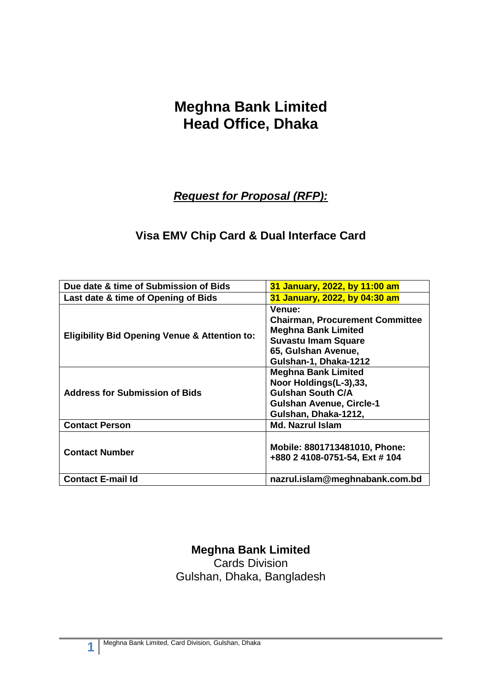# **Meghna Bank Limited Head Office, Dhaka**

*Request for Proposal (RFP):*

### **Visa EMV Chip Card & Dual Interface Card**

| Due date & time of Submission of Bids                    | 31 January, 2022, by 11:00 am                                                                                                                                       |
|----------------------------------------------------------|---------------------------------------------------------------------------------------------------------------------------------------------------------------------|
| Last date & time of Opening of Bids                      | 31 January, 2022, by 04:30 am                                                                                                                                       |
| <b>Eligibility Bid Opening Venue &amp; Attention to:</b> | <b>Venue:</b><br><b>Chairman, Procurement Committee</b><br><b>Meghna Bank Limited</b><br><b>Suvastu Imam Square</b><br>65, Gulshan Avenue,<br>Gulshan-1, Dhaka-1212 |
| <b>Address for Submission of Bids</b>                    | <b>Meghna Bank Limited</b><br>Noor Holdings(L-3),33,<br><b>Gulshan South C/A</b><br><b>Gulshan Avenue, Circle-1</b><br>Gulshan, Dhaka-1212,                         |
| <b>Contact Person</b>                                    | <b>Md. Nazrul Islam</b>                                                                                                                                             |
| <b>Contact Number</b>                                    | Mobile: 8801713481010, Phone:<br>+880 2 4108-0751-54, Ext # 104                                                                                                     |
| <b>Contact E-mail Id</b>                                 | nazrul.islam@meghnabank.com.bd                                                                                                                                      |

**Meghna Bank Limited** Cards Division Gulshan, Dhaka, Bangladesh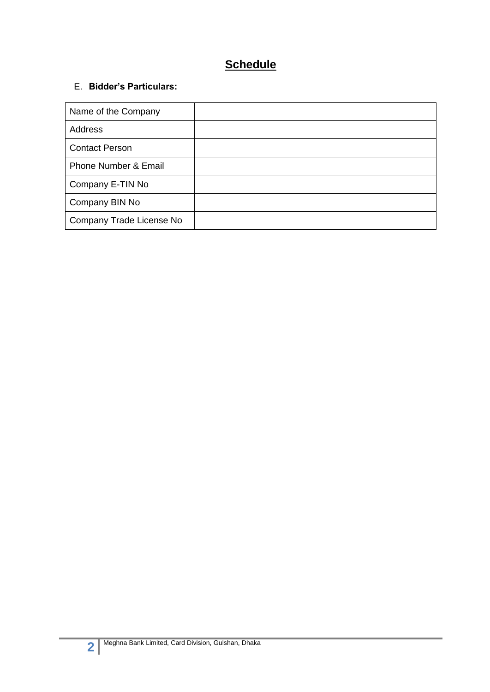## **Schedule**

#### E. **Bidder's Particulars:**

| Name of the Company             |  |
|---------------------------------|--|
| <b>Address</b>                  |  |
| <b>Contact Person</b>           |  |
| <b>Phone Number &amp; Email</b> |  |
| Company E-TIN No                |  |
| Company BIN No                  |  |
| Company Trade License No        |  |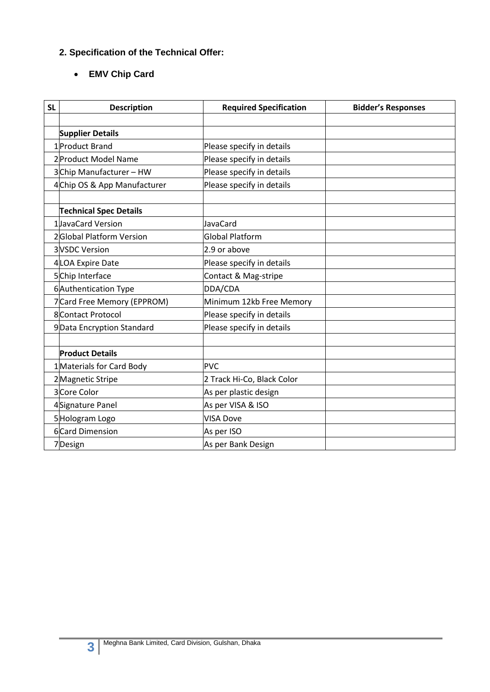### **2. Specification of the Technical Offer:**

#### **EMV Chip Card**

| <b>SL</b> | <b>Description</b>            | <b>Required Specification</b> | <b>Bidder's Responses</b> |
|-----------|-------------------------------|-------------------------------|---------------------------|
|           |                               |                               |                           |
|           | <b>Supplier Details</b>       |                               |                           |
|           | 1 Product Brand               | Please specify in details     |                           |
|           | 2 Product Model Name          | Please specify in details     |                           |
|           | 3Chip Manufacturer - HW       | Please specify in details     |                           |
|           | 4Chip OS & App Manufacturer   | Please specify in details     |                           |
|           | <b>Technical Spec Details</b> |                               |                           |
|           | 1JavaCard Version             | JavaCard                      |                           |
|           | 2Global Platform Version      | <b>Global Platform</b>        |                           |
|           | <b>3</b> VSDC Version         | 2.9 or above                  |                           |
|           | 4LOA Expire Date              | Please specify in details     |                           |
|           | 5Chip Interface               | Contact & Mag-stripe          |                           |
|           | 6 Authentication Type         | DDA/CDA                       |                           |
|           | 7 Card Free Memory (EPPROM)   | Minimum 12kb Free Memory      |                           |
|           | 8 Contact Protocol            | Please specify in details     |                           |
|           | 9Data Encryption Standard     | Please specify in details     |                           |
|           | <b>Product Details</b>        |                               |                           |
|           | 1 Materials for Card Body     | <b>PVC</b>                    |                           |
|           | 2 Magnetic Stripe             | 2 Track Hi-Co, Black Color    |                           |
|           | 3 Core Color                  | As per plastic design         |                           |
|           | 4 Signature Panel             | As per VISA & ISO             |                           |
|           | 5Hologram Logo                | <b>VISA Dove</b>              |                           |
|           | 6 Card Dimension              | As per ISO                    |                           |
|           | 7Design                       | As per Bank Design            |                           |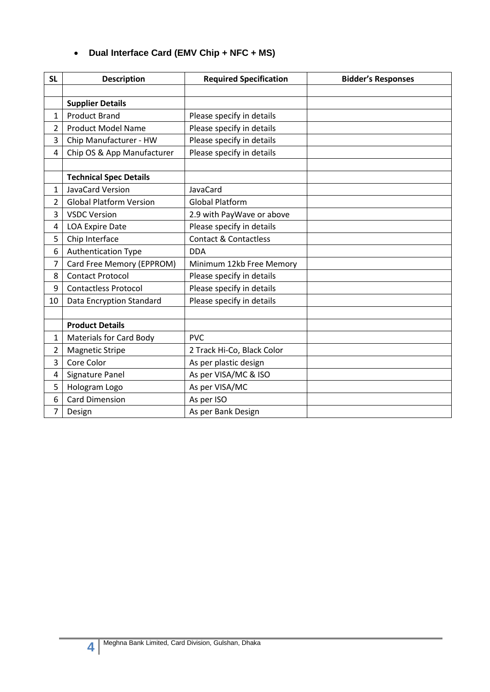#### **Dual Interface Card (EMV Chip + NFC + MS)**

| <b>SL</b> | <b>Description</b>             | <b>Required Specification</b>    | <b>Bidder's Responses</b> |
|-----------|--------------------------------|----------------------------------|---------------------------|
|           |                                |                                  |                           |
|           | <b>Supplier Details</b>        |                                  |                           |
| 1         | <b>Product Brand</b>           | Please specify in details        |                           |
| 2         | <b>Product Model Name</b>      | Please specify in details        |                           |
| 3         | Chip Manufacturer - HW         | Please specify in details        |                           |
| 4         | Chip OS & App Manufacturer     | Please specify in details        |                           |
|           |                                |                                  |                           |
|           | <b>Technical Spec Details</b>  |                                  |                           |
| 1         | JavaCard Version               | JavaCard                         |                           |
| 2         | <b>Global Platform Version</b> | <b>Global Platform</b>           |                           |
| 3         | <b>VSDC Version</b>            | 2.9 with PayWave or above        |                           |
| 4         | <b>LOA Expire Date</b>         | Please specify in details        |                           |
| 5         | Chip Interface                 | <b>Contact &amp; Contactless</b> |                           |
| 6         | <b>Authentication Type</b>     | <b>DDA</b>                       |                           |
| 7         | Card Free Memory (EPPROM)      | Minimum 12kb Free Memory         |                           |
| 8         | <b>Contact Protocol</b>        | Please specify in details        |                           |
| 9         | <b>Contactless Protocol</b>    | Please specify in details        |                           |
| 10        | Data Encryption Standard       | Please specify in details        |                           |
|           |                                |                                  |                           |
|           | <b>Product Details</b>         |                                  |                           |
| 1         | <b>Materials for Card Body</b> | <b>PVC</b>                       |                           |
| 2         | <b>Magnetic Stripe</b>         | 2 Track Hi-Co, Black Color       |                           |
| 3         | Core Color                     | As per plastic design            |                           |
| 4         | Signature Panel                | As per VISA/MC & ISO             |                           |
| 5         | Hologram Logo                  | As per VISA/MC                   |                           |
| 6         | <b>Card Dimension</b>          | As per ISO                       |                           |
| 7         | Design                         | As per Bank Design               |                           |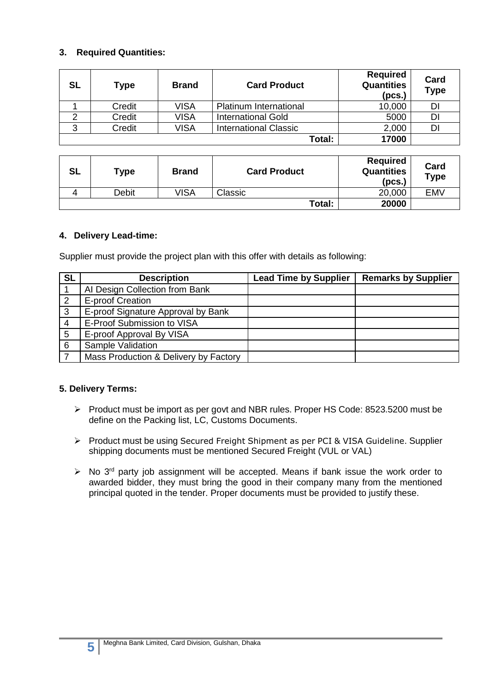#### **3. Required Quantities:**

| <b>SL</b> | Type   | <b>Brand</b> | <b>Card Product</b>           | <b>Required</b><br><b>Quantities</b><br>(pcs.) | Card<br><b>Type</b> |
|-----------|--------|--------------|-------------------------------|------------------------------------------------|---------------------|
|           | Credit | <b>VISA</b>  | <b>Platinum International</b> | 10,000                                         | DI                  |
|           | Credit | <b>VISA</b>  | <b>International Gold</b>     | 5000                                           | DI                  |
| ◠         | Credit | <b>VISA</b>  | <b>International Classic</b>  | 2,000                                          | DI                  |
|           |        |              | Total:                        | 17000                                          |                     |

| <b>SL</b> | Туре  | <b>Brand</b> | <b>Card Product</b> | <b>Required</b><br><b>Quantities</b><br>(pcs.) | Card<br>Type |
|-----------|-------|--------------|---------------------|------------------------------------------------|--------------|
|           | Debit | VISA         | Classic             | 20,000                                         | <b>EMV</b>   |
|           |       |              | Total:              | 20000                                          |              |

#### **4. Delivery Lead-time:**

Supplier must provide the project plan with this offer with details as following:

| <b>SL</b>      | <b>Description</b>                    | <b>Lead Time by Supplier</b> | <b>Remarks by Supplier</b> |
|----------------|---------------------------------------|------------------------------|----------------------------|
|                | AI Design Collection from Bank        |                              |                            |
| $\overline{2}$ | E-proof Creation                      |                              |                            |
| $\mathbf{3}$   | E-proof Signature Approval by Bank    |                              |                            |
| $\overline{4}$ | E-Proof Submission to VISA            |                              |                            |
| 5              | E-proof Approval By VISA              |                              |                            |
| 6              | <b>Sample Validation</b>              |                              |                            |
|                | Mass Production & Delivery by Factory |                              |                            |

#### **5. Delivery Terms:**

- Product must be import as per govt and NBR rules. Proper HS Code: 8523.5200 must be define on the Packing list, LC, Customs Documents.
- ▶ Product must be using Secured Freight Shipment as per PCI & VISA Guideline. Supplier shipping documents must be mentioned Secured Freight (VUL or VAL)
- $\triangleright$  No 3<sup>rd</sup> party job assignment will be accepted. Means if bank issue the work order to awarded bidder, they must bring the good in their company many from the mentioned principal quoted in the tender. Proper documents must be provided to justify these.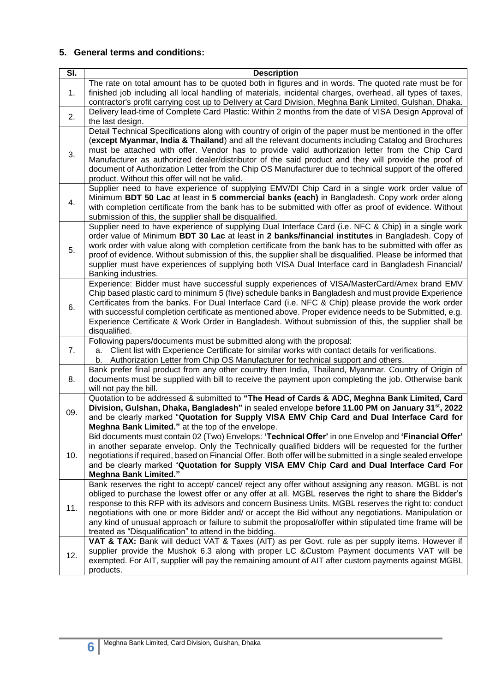#### **5. General terms and conditions:**

| $\overline{\mathsf{SI}}$ . | <b>Description</b>                                                                                                                                                                                               |
|----------------------------|------------------------------------------------------------------------------------------------------------------------------------------------------------------------------------------------------------------|
|                            | The rate on total amount has to be quoted both in figures and in words. The quoted rate must be for                                                                                                              |
| 1.                         | finished job including all local handling of materials, incidental charges, overhead, all types of taxes,                                                                                                        |
|                            | contractor's profit carrying cost up to Delivery at Card Division, Meghna Bank Limited, Gulshan, Dhaka.                                                                                                          |
|                            | Delivery lead-time of Complete Card Plastic: Within 2 months from the date of VISA Design Approval of                                                                                                            |
| 2.                         | the last design.                                                                                                                                                                                                 |
|                            | Detail Technical Specifications along with country of origin of the paper must be mentioned in the offer                                                                                                         |
|                            | (except Myanmar, India & Thailand) and all the relevant documents including Catalog and Brochures                                                                                                                |
|                            | must be attached with offer. Vendor has to provide valid authorization letter from the Chip Card                                                                                                                 |
| 3.                         | Manufacturer as authorized dealer/distributor of the said product and they will provide the proof of                                                                                                             |
|                            | document of Authorization Letter from the Chip OS Manufacturer due to technical support of the offered                                                                                                           |
|                            | product. Without this offer will not be valid.                                                                                                                                                                   |
|                            | Supplier need to have experience of supplying EMV/DI Chip Card in a single work order value of                                                                                                                   |
| 4.                         | Minimum BDT 50 Lac at least in 5 commercial banks (each) in Bangladesh. Copy work order along                                                                                                                    |
|                            | with completion certificate from the bank has to be submitted with offer as proof of evidence. Without                                                                                                           |
|                            | submission of this, the supplier shall be disqualified.                                                                                                                                                          |
|                            | Supplier need to have experience of supplying Dual Interface Card (i.e. NFC & Chip) in a single work                                                                                                             |
|                            | order value of Minimum BDT 30 Lac at least in 2 banks/financial institutes in Bangladesh. Copy of                                                                                                                |
| 5.                         | work order with value along with completion certificate from the bank has to be submitted with offer as                                                                                                          |
|                            | proof of evidence. Without submission of this, the supplier shall be disqualified. Please be informed that<br>supplier must have experiences of supplying both VISA Dual Interface card in Bangladesh Financial/ |
|                            | Banking industries.                                                                                                                                                                                              |
|                            | Experience: Bidder must have successful supply experiences of VISA/MasterCard/Amex brand EMV                                                                                                                     |
|                            | Chip based plastic card to minimum 5 (five) schedule banks in Bangladesh and must provide Experience                                                                                                             |
|                            | Certificates from the banks. For Dual Interface Card (i.e. NFC & Chip) please provide the work order                                                                                                             |
| 6.                         | with successful completion certificate as mentioned above. Proper evidence needs to be Submitted, e.g.                                                                                                           |
|                            | Experience Certificate & Work Order in Bangladesh. Without submission of this, the supplier shall be                                                                                                             |
|                            | disqualified.                                                                                                                                                                                                    |
|                            | Following papers/documents must be submitted along with the proposal:                                                                                                                                            |
| 7.                         | Client list with Experience Certificate for similar works with contact details for verifications.<br>a.                                                                                                          |
|                            | b. Authorization Letter from Chip OS Manufacturer for technical support and others.                                                                                                                              |
|                            | Bank prefer final product from any other country then India, Thailand, Myanmar. Country of Origin of                                                                                                             |
| 8.                         | documents must be supplied with bill to receive the payment upon completing the job. Otherwise bank<br>will not pay the bill.                                                                                    |
|                            | Quotation to be addressed & submitted to "The Head of Cards & ADC, Meghna Bank Limited, Card                                                                                                                     |
|                            | Division, Gulshan, Dhaka, Bangladesh" in sealed envelope before 11.00 PM on January 31 <sup>st</sup> , 2022                                                                                                      |
| 09.                        | and be clearly marked "Quotation for Supply VISA EMV Chip Card and Dual Interface Card for                                                                                                                       |
|                            | Meghna Bank Limited." at the top of the envelope.                                                                                                                                                                |
|                            | Bid documents must contain 02 (Two) Envelops: 'Technical Offer' in one Envelop and 'Financial Offer'                                                                                                             |
|                            | in another separate envelop. Only the Technically qualified bidders will be requested for the further                                                                                                            |
| 10.                        | negotiations if required, based on Financial Offer. Both offer will be submitted in a single sealed envelope                                                                                                     |
|                            | and be clearly marked "Quotation for Supply VISA EMV Chip Card and Dual Interface Card For                                                                                                                       |
|                            | <b>Meghna Bank Limited."</b>                                                                                                                                                                                     |
|                            | Bank reserves the right to accept/ cancel/ reject any offer without assigning any reason. MGBL is not                                                                                                            |
|                            | obliged to purchase the lowest offer or any offer at all. MGBL reserves the right to share the Bidder's                                                                                                          |
| 11.                        | response to this RFP with its advisors and concern Business Units. MGBL reserves the right to: conduct<br>negotiations with one or more Bidder and/ or accept the Bid without any negotiations. Manipulation or  |
|                            | any kind of unusual approach or failure to submit the proposal/offer within stipulated time frame will be                                                                                                        |
|                            | treated as "Disqualification" to attend in the bidding.                                                                                                                                                          |
|                            | VAT & TAX: Bank will deduct VAT & Taxes (AIT) as per Govt. rule as per supply items. However if                                                                                                                  |
|                            | supplier provide the Mushok 6.3 along with proper LC & Custom Payment documents VAT will be                                                                                                                      |
| 12.                        | exempted. For AIT, supplier will pay the remaining amount of AIT after custom payments against MGBL                                                                                                              |
|                            | products.                                                                                                                                                                                                        |